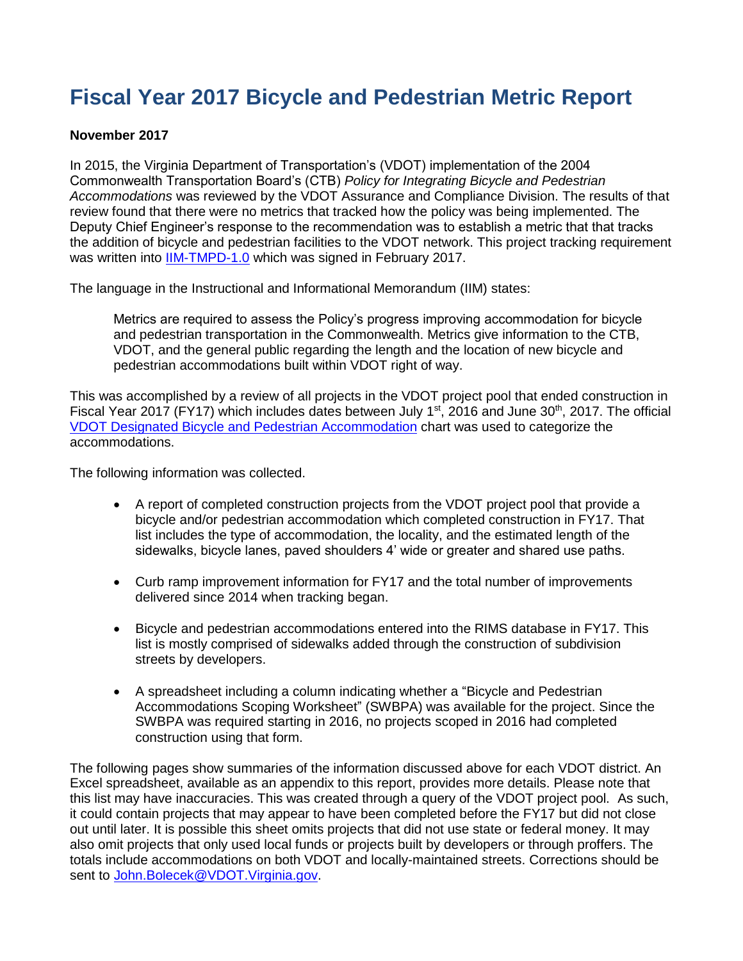# **Fiscal Year 2017 Bicycle and Pedestrian Metric Report**

#### **November 2017**

In 2015, the Virginia Department of Transportation's (VDOT) implementation of the 2004 Commonwealth Transportation Board's (CTB) *Policy for Integrating Bicycle and Pedestrian Accommodations* was reviewed by the VDOT Assurance and Compliance Division. The results of that review found that there were no metrics that tracked how the policy was being implemented. The Deputy Chief Engineer's response to the recommendation was to establish a metric that that tracks the addition of bicycle and pedestrian facilities to the VDOT network. This project tracking requirement was written into [IIM-TMPD-1.0](http://www.virginiadot.org/business/resources/IIM/TMPD-1.0_Implementation_of_the_CTB_Policy_for_Integrating_Bicycle_and_Pedestrian_Accommodaitons.pdf) which was signed in February 2017.

The language in the Instructional and Informational Memorandum (IIM) states:

Metrics are required to assess the Policy's progress improving accommodation for bicycle and pedestrian transportation in the Commonwealth. Metrics give information to the CTB, VDOT, and the general public regarding the length and the location of new bicycle and pedestrian accommodations built within VDOT right of way.

This was accomplished by a review of all projects in the VDOT project pool that ended construction in Fiscal Year 2017 (FY17) which includes dates between July 1<sup>st</sup>, 2016 and June 30<sup>th</sup>, 2017. The official [VDOT Designated Bicycle and Pedestrian Accommodation](http://www.virginiadot.org/programs/resources/bike/BPAccommodationsDefined.pdf) chart was used to categorize the accommodations.

The following information was collected.

- A report of completed construction projects from the VDOT project pool that provide a bicycle and/or pedestrian accommodation which completed construction in FY17. That list includes the type of accommodation, the locality, and the estimated length of the sidewalks, bicycle lanes, paved shoulders 4' wide or greater and shared use paths.
- Curb ramp improvement information for FY17 and the total number of improvements delivered since 2014 when tracking began.
- Bicycle and pedestrian accommodations entered into the RIMS database in FY17. This list is mostly comprised of sidewalks added through the construction of subdivision streets by developers.
- A spreadsheet including a column indicating whether a "Bicycle and Pedestrian Accommodations Scoping Worksheet" (SWBPA) was available for the project. Since the SWBPA was required starting in 2016, no projects scoped in 2016 had completed construction using that form.

The following pages show summaries of the information discussed above for each VDOT district. An Excel spreadsheet, available as an appendix to this report, provides more details. Please note that this list may have inaccuracies. This was created through a query of the VDOT project pool. As such, it could contain projects that may appear to have been completed before the FY17 but did not close out until later. It is possible this sheet omits projects that did not use state or federal money. It may also omit projects that only used local funds or projects built by developers or through proffers. The totals include accommodations on both VDOT and locally-maintained streets. Corrections should be sent to [John.Bolecek@VDOT.Virginia.gov.](mailto:John.Bolecek@VDOT.Virginia.gov)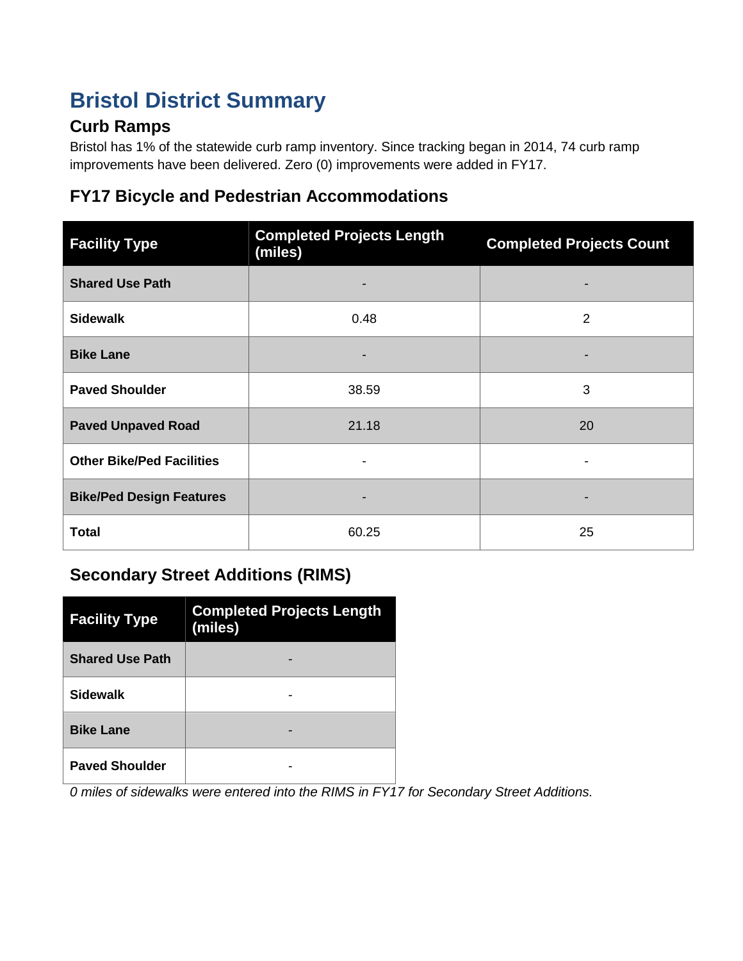# **Bristol District Summary**

# **Curb Ramps**

Bristol has 1% of the statewide curb ramp inventory. Since tracking began in 2014, 74 curb ramp improvements have been delivered. Zero (0) improvements were added in FY17.

#### **FY17 Bicycle and Pedestrian Accommodations**

| <b>Facility Type</b>             | <b>Completed Projects Length</b><br>(miles) | <b>Completed Projects Count</b> |
|----------------------------------|---------------------------------------------|---------------------------------|
| <b>Shared Use Path</b>           |                                             |                                 |
| <b>Sidewalk</b>                  | 0.48                                        | 2                               |
| <b>Bike Lane</b>                 |                                             |                                 |
| <b>Paved Shoulder</b>            | 38.59                                       | 3                               |
| <b>Paved Unpaved Road</b>        | 21.18                                       | 20                              |
| <b>Other Bike/Ped Facilities</b> |                                             |                                 |
| <b>Bike/Ped Design Features</b>  |                                             |                                 |
| <b>Total</b>                     | 60.25                                       | 25                              |

# **Secondary Street Additions (RIMS)**

| <b>Facility Type</b>   | <b>Completed Projects Length</b><br>(miles) |
|------------------------|---------------------------------------------|
| <b>Shared Use Path</b> |                                             |
| <b>Sidewalk</b>        |                                             |
| <b>Bike Lane</b>       |                                             |
| <b>Paved Shoulder</b>  |                                             |

*0 miles of sidewalks were entered into the RIMS in FY17 for Secondary Street Additions.*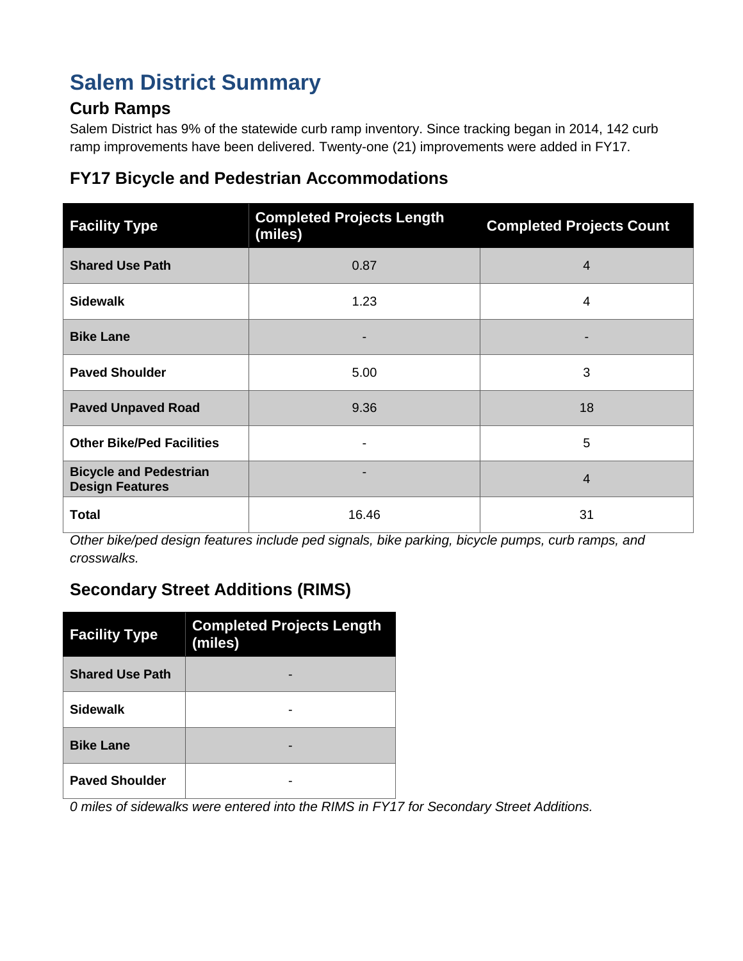# **Salem District Summary**

### **Curb Ramps**

Salem District has 9% of the statewide curb ramp inventory. Since tracking began in 2014, 142 curb ramp improvements have been delivered. Twenty-one (21) improvements were added in FY17.

### **FY17 Bicycle and Pedestrian Accommodations**

| <b>Facility Type</b>                                    | <b>Completed Projects Length</b><br>(miles) | <b>Completed Projects Count</b> |
|---------------------------------------------------------|---------------------------------------------|---------------------------------|
| <b>Shared Use Path</b>                                  | 0.87                                        | $\overline{4}$                  |
| <b>Sidewalk</b>                                         | 1.23                                        | 4                               |
| <b>Bike Lane</b>                                        |                                             |                                 |
| <b>Paved Shoulder</b>                                   | 5.00                                        | 3                               |
| <b>Paved Unpaved Road</b>                               | 9.36                                        | 18                              |
| <b>Other Bike/Ped Facilities</b>                        |                                             | 5                               |
| <b>Bicycle and Pedestrian</b><br><b>Design Features</b> |                                             | $\overline{4}$                  |
| <b>Total</b>                                            | 16.46                                       | 31                              |

*Other bike/ped design features include ped signals, bike parking, bicycle pumps, curb ramps, and crosswalks.*

# **Secondary Street Additions (RIMS)**

| <b>Facility Type</b>   | <b>Completed Projects Length</b><br>(miles) |  |
|------------------------|---------------------------------------------|--|
| <b>Shared Use Path</b> |                                             |  |
| <b>Sidewalk</b>        |                                             |  |
| <b>Bike Lane</b>       |                                             |  |
| <b>Paved Shoulder</b>  |                                             |  |

*0 miles of sidewalks were entered into the RIMS in FY17 for Secondary Street Additions.*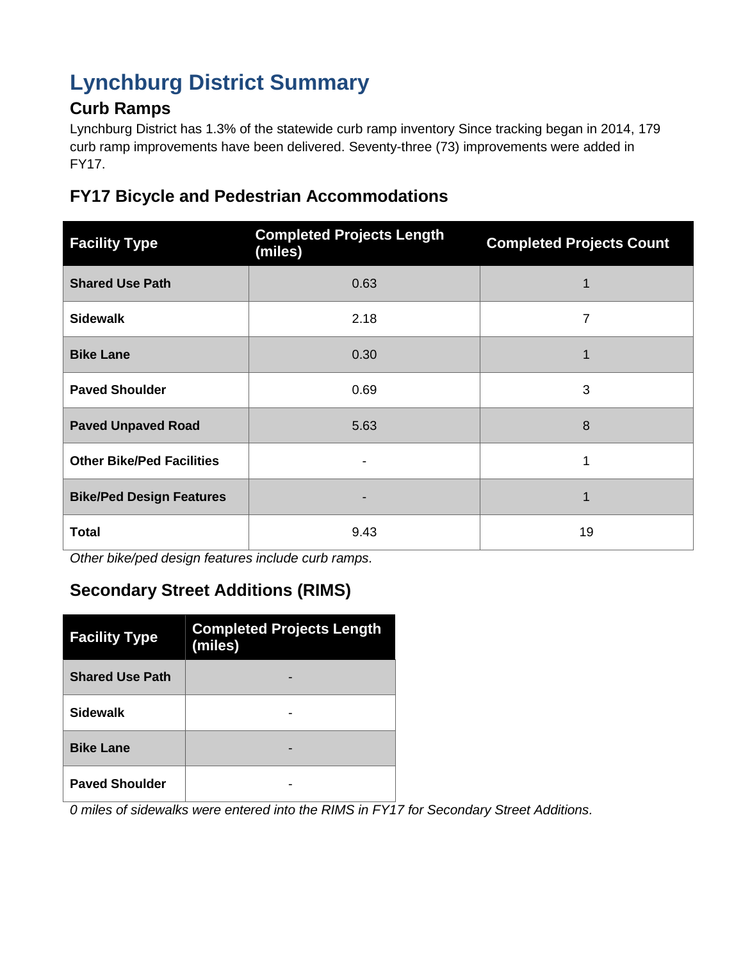# **Lynchburg District Summary**

### **Curb Ramps**

Lynchburg District has 1.3% of the statewide curb ramp inventory Since tracking began in 2014, 179 curb ramp improvements have been delivered. Seventy-three (73) improvements were added in FY17.

#### **FY17 Bicycle and Pedestrian Accommodations**

| <b>Facility Type</b>             | <b>Completed Projects Length</b><br>(miles) | <b>Completed Projects Count</b> |
|----------------------------------|---------------------------------------------|---------------------------------|
| <b>Shared Use Path</b>           | 0.63                                        | 1                               |
| <b>Sidewalk</b>                  | 2.18                                        | 7                               |
| <b>Bike Lane</b>                 | 0.30                                        |                                 |
| <b>Paved Shoulder</b>            | 0.69                                        | 3                               |
| <b>Paved Unpaved Road</b>        | 5.63                                        | 8                               |
| <b>Other Bike/Ped Facilities</b> |                                             |                                 |
| <b>Bike/Ped Design Features</b>  |                                             |                                 |
| <b>Total</b>                     | 9.43                                        | 19                              |

*Other bike/ped design features include curb ramps.*

# **Secondary Street Additions (RIMS)**

| <b>Facility Type</b>   | <b>Completed Projects Length</b><br>(miles) |  |
|------------------------|---------------------------------------------|--|
| <b>Shared Use Path</b> |                                             |  |
| <b>Sidewalk</b>        |                                             |  |
| <b>Bike Lane</b>       |                                             |  |
| <b>Paved Shoulder</b>  |                                             |  |

*0 miles of sidewalks were entered into the RIMS in FY17 for Secondary Street Additions.*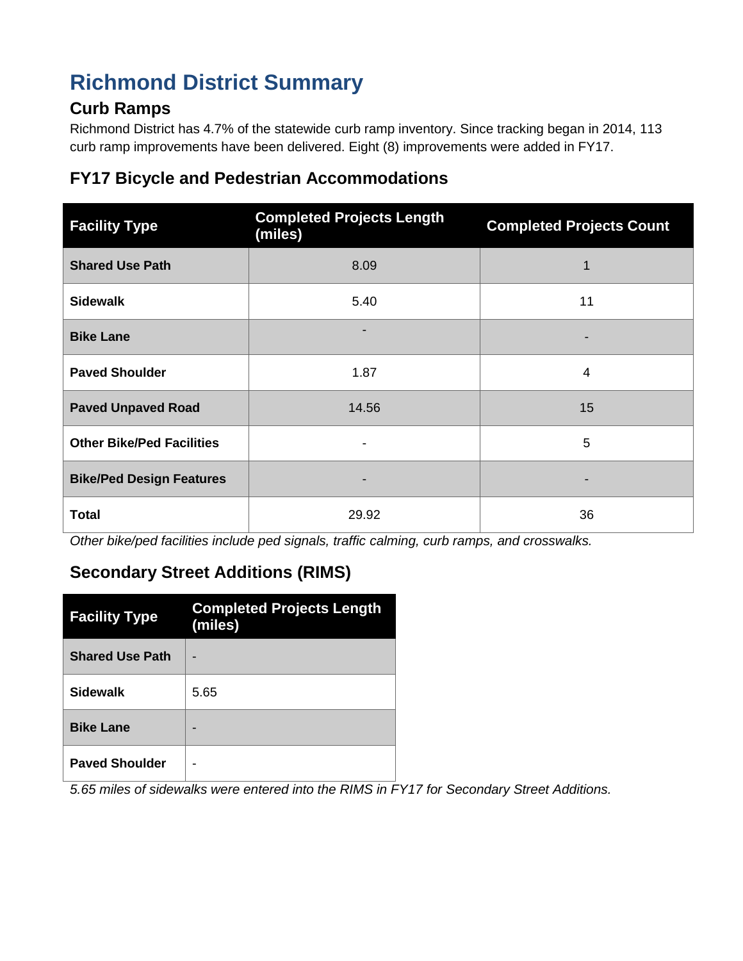# **Richmond District Summary**

### **Curb Ramps**

Richmond District has 4.7% of the statewide curb ramp inventory. Since tracking began in 2014, 113 curb ramp improvements have been delivered. Eight (8) improvements were added in FY17.

### **FY17 Bicycle and Pedestrian Accommodations**

| <b>Facility Type</b>             | <b>Completed Projects Length</b><br>(miles) | <b>Completed Projects Count</b> |
|----------------------------------|---------------------------------------------|---------------------------------|
| <b>Shared Use Path</b>           | 8.09                                        | 1                               |
| <b>Sidewalk</b>                  | 5.40                                        | 11                              |
| <b>Bike Lane</b>                 |                                             |                                 |
| <b>Paved Shoulder</b>            | 1.87                                        | 4                               |
| <b>Paved Unpaved Road</b>        | 14.56                                       | 15                              |
| <b>Other Bike/Ped Facilities</b> |                                             | 5                               |
| <b>Bike/Ped Design Features</b>  |                                             |                                 |
| <b>Total</b>                     | 29.92                                       | 36                              |

*Other bike/ped facilities include ped signals, traffic calming, curb ramps, and crosswalks.*

# **Secondary Street Additions (RIMS)**

| <b>Facility Type</b>   | <b>Completed Projects Length</b><br>(miles) |
|------------------------|---------------------------------------------|
| <b>Shared Use Path</b> |                                             |
| <b>Sidewalk</b>        | 5.65                                        |
| <b>Bike Lane</b>       |                                             |
| <b>Paved Shoulder</b>  |                                             |

*5.65 miles of sidewalks were entered into the RIMS in FY17 for Secondary Street Additions.*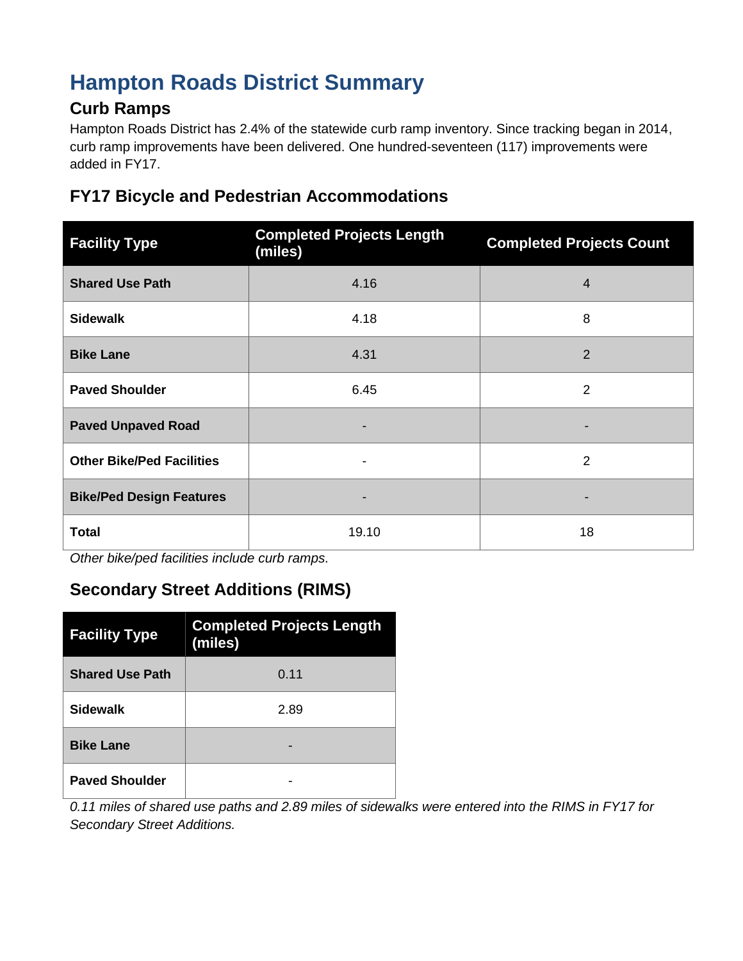# **Hampton Roads District Summary**

### **Curb Ramps**

Hampton Roads District has 2.4% of the statewide curb ramp inventory. Since tracking began in 2014, curb ramp improvements have been delivered. One hundred-seventeen (117) improvements were added in FY17.

#### **FY17 Bicycle and Pedestrian Accommodations**

| <b>Facility Type</b>             | <b>Completed Projects Length</b><br>(miles) | <b>Completed Projects Count</b> |
|----------------------------------|---------------------------------------------|---------------------------------|
| <b>Shared Use Path</b>           | 4.16                                        | $\overline{4}$                  |
| <b>Sidewalk</b>                  | 4.18                                        | 8                               |
| <b>Bike Lane</b>                 | 4.31                                        | $\overline{2}$                  |
| <b>Paved Shoulder</b>            | 6.45                                        | $\overline{2}$                  |
| <b>Paved Unpaved Road</b>        |                                             |                                 |
| <b>Other Bike/Ped Facilities</b> |                                             | $\overline{2}$                  |
| <b>Bike/Ped Design Features</b>  |                                             |                                 |
| <b>Total</b>                     | 19.10                                       | 18                              |

*Other bike/ped facilities include curb ramps.*

# **Secondary Street Additions (RIMS)**

| <b>Facility Type</b>   | <b>Completed Projects Length</b><br>(miles) |
|------------------------|---------------------------------------------|
| <b>Shared Use Path</b> | 0.11                                        |
| <b>Sidewalk</b>        | 2.89                                        |
| <b>Bike Lane</b>       |                                             |
| <b>Paved Shoulder</b>  |                                             |

*0.11 miles of shared use paths and 2.89 miles of sidewalks were entered into the RIMS in FY17 for Secondary Street Additions.*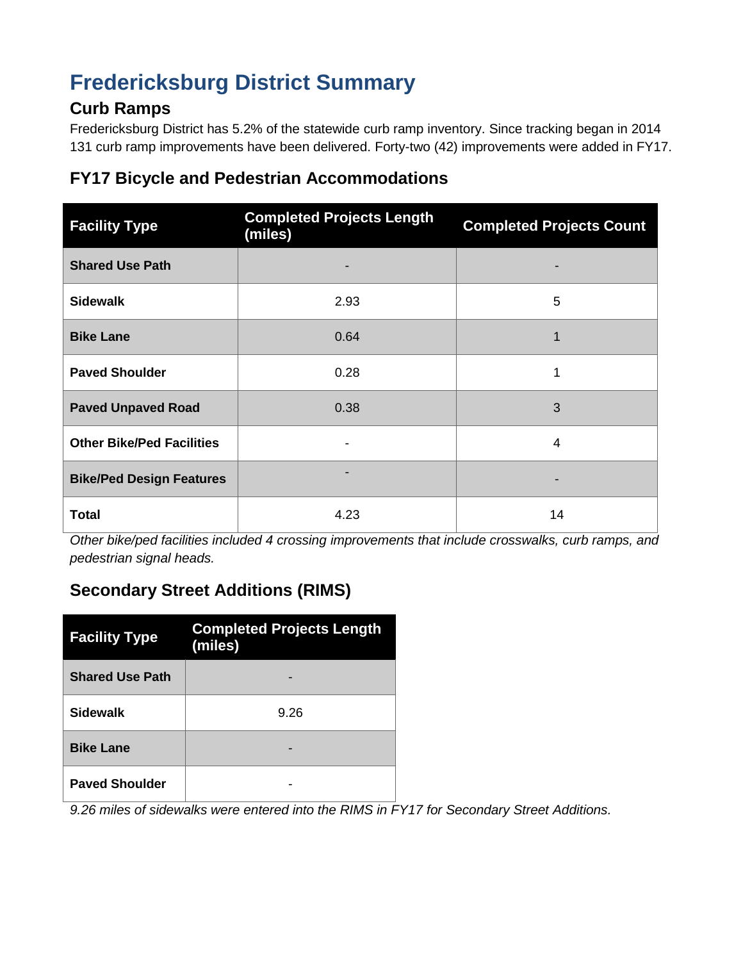# **Fredericksburg District Summary**

#### **Curb Ramps**

Fredericksburg District has 5.2% of the statewide curb ramp inventory. Since tracking began in 2014 131 curb ramp improvements have been delivered. Forty-two (42) improvements were added in FY17.

### **FY17 Bicycle and Pedestrian Accommodations**

| <b>Facility Type</b>             | <b>Completed Projects Length</b><br>(miles) | <b>Completed Projects Count</b> |
|----------------------------------|---------------------------------------------|---------------------------------|
| <b>Shared Use Path</b>           |                                             |                                 |
| <b>Sidewalk</b>                  | 2.93                                        | 5                               |
| <b>Bike Lane</b>                 | 0.64                                        |                                 |
| <b>Paved Shoulder</b>            | 0.28                                        |                                 |
| <b>Paved Unpaved Road</b>        | 0.38                                        | 3                               |
| <b>Other Bike/Ped Facilities</b> |                                             | 4                               |
| <b>Bike/Ped Design Features</b>  |                                             |                                 |
| <b>Total</b>                     | 4.23                                        | 14                              |

*Other bike/ped facilities included 4 crossing improvements that include crosswalks, curb ramps, and pedestrian signal heads.*

# **Secondary Street Additions (RIMS)**

| <b>Facility Type</b>   | <b>Completed Projects Length</b><br>(miles) |  |
|------------------------|---------------------------------------------|--|
| <b>Shared Use Path</b> |                                             |  |
| <b>Sidewalk</b>        | 9.26                                        |  |
| <b>Bike Lane</b>       |                                             |  |
| <b>Paved Shoulder</b>  |                                             |  |

*9.26 miles of sidewalks were entered into the RIMS in FY17 for Secondary Street Additions.*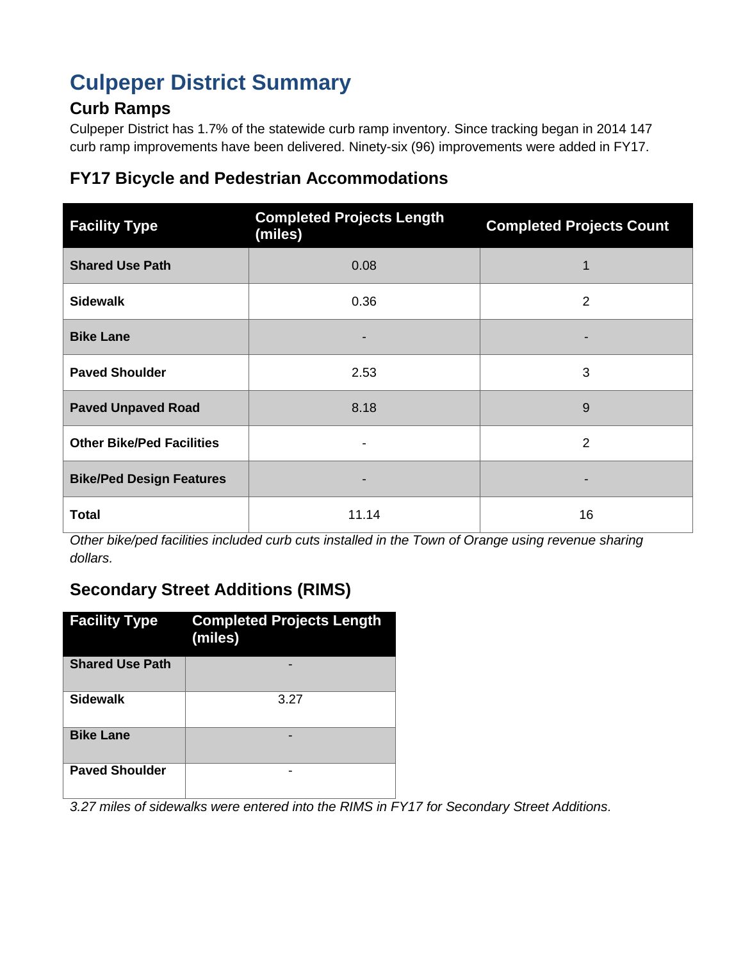# **Culpeper District Summary**

# **Curb Ramps**

Culpeper District has 1.7% of the statewide curb ramp inventory. Since tracking began in 2014 147 curb ramp improvements have been delivered. Ninety-six (96) improvements were added in FY17.

### **FY17 Bicycle and Pedestrian Accommodations**

| <b>Facility Type</b>             | <b>Completed Projects Length</b><br>(miles) | <b>Completed Projects Count</b> |
|----------------------------------|---------------------------------------------|---------------------------------|
| <b>Shared Use Path</b>           | 0.08                                        | 1                               |
| <b>Sidewalk</b>                  | 0.36                                        | $\overline{2}$                  |
| <b>Bike Lane</b>                 |                                             |                                 |
| <b>Paved Shoulder</b>            | 2.53                                        | 3                               |
| <b>Paved Unpaved Road</b>        | 8.18                                        | 9                               |
| <b>Other Bike/Ped Facilities</b> |                                             | 2                               |
| <b>Bike/Ped Design Features</b>  |                                             |                                 |
| <b>Total</b>                     | 11.14                                       | 16                              |

*Other bike/ped facilities included curb cuts installed in the Town of Orange using revenue sharing dollars.*

# **Secondary Street Additions (RIMS)**

| <b>Facility Type</b>   | <b>Completed Projects Length</b><br>(miles) |
|------------------------|---------------------------------------------|
| <b>Shared Use Path</b> |                                             |
| <b>Sidewalk</b>        | 3.27                                        |
| <b>Bike Lane</b>       |                                             |
| <b>Paved Shoulder</b>  |                                             |

*3.27 miles of sidewalks were entered into the RIMS in FY17 for Secondary Street Additions.*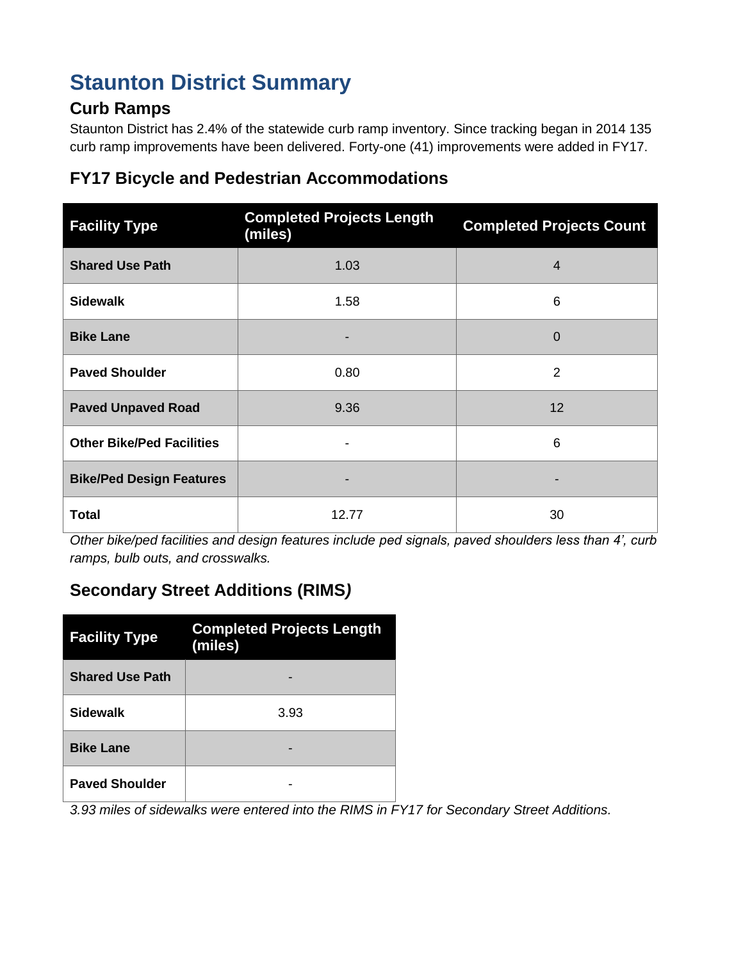# **Staunton District Summary**

### **Curb Ramps**

Staunton District has 2.4% of the statewide curb ramp inventory. Since tracking began in 2014 135 curb ramp improvements have been delivered. Forty-one (41) improvements were added in FY17.

### **FY17 Bicycle and Pedestrian Accommodations**

| <b>Facility Type</b>             | <b>Completed Projects Length</b><br>(miles) | <b>Completed Projects Count</b> |
|----------------------------------|---------------------------------------------|---------------------------------|
| <b>Shared Use Path</b>           | 1.03                                        | 4                               |
| <b>Sidewalk</b>                  | 1.58                                        | 6                               |
| <b>Bike Lane</b>                 |                                             | 0                               |
| <b>Paved Shoulder</b>            | 0.80                                        | $\overline{2}$                  |
| <b>Paved Unpaved Road</b>        | 9.36                                        | $12 \overline{ }$               |
| <b>Other Bike/Ped Facilities</b> |                                             | 6                               |
| <b>Bike/Ped Design Features</b>  |                                             |                                 |
| <b>Total</b>                     | 12.77                                       | 30                              |

*Other bike/ped facilities and design features include ped signals, paved shoulders less than 4', curb ramps, bulb outs, and crosswalks.*

# **Secondary Street Additions (RIMS***)*

| <b>Facility Type</b>   | <b>Completed Projects Length</b><br>(miles) |  |
|------------------------|---------------------------------------------|--|
| <b>Shared Use Path</b> |                                             |  |
| <b>Sidewalk</b>        | 3.93                                        |  |
| <b>Bike Lane</b>       |                                             |  |
| <b>Paved Shoulder</b>  |                                             |  |

*3.93 miles of sidewalks were entered into the RIMS in FY17 for Secondary Street Additions.*